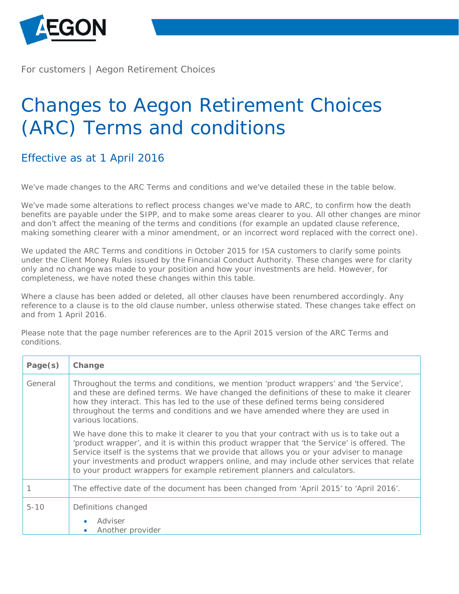

For customers | Aegon Retirement Choices

## Changes to Aegon Retirement Choices (ARC) Terms and conditions

## Effective as at 1 April 2016

We've made changes to the ARC Terms and conditions and we've detailed these in the table below.

We've made some alterations to reflect process changes we've made to ARC, to confirm how the death benefits are payable under the SIPP, and to make some areas clearer to you. All other changes are minor and don't affect the meaning of the terms and conditions (for example an updated clause reference, making something clearer with a minor amendment, or an incorrect word replaced with the correct one).

We updated the ARC Terms and conditions in October 2015 for ISA customers to clarify some points under the Client Money Rules issued by the Financial Conduct Authority. These changes were for clarity only and no change was made to your position and how your investments are held. However, for completeness, we have noted these changes within this table.

Where a clause has been added or deleted, all other clauses have been renumbered accordingly. Any reference to a clause is to the old clause number, unless otherwise stated. These changes take effect on and from 1 April 2016.

Please note that the page number references are to the April 2015 version of the ARC Terms and conditions.

| Page(s)  | Change                                                                                                                                                                                                                                                                                                                                                                                                                                                     |
|----------|------------------------------------------------------------------------------------------------------------------------------------------------------------------------------------------------------------------------------------------------------------------------------------------------------------------------------------------------------------------------------------------------------------------------------------------------------------|
| General  | Throughout the terms and conditions, we mention 'product wrappers' and 'the Service',<br>and these are defined terms. We have changed the definitions of these to make it clearer<br>how they interact. This has led to the use of these defined terms being considered<br>throughout the terms and conditions and we have amended where they are used in<br>various locations.                                                                            |
|          | We have done this to make it clearer to you that your contract with us is to take out a<br>'product wrapper', and it is within this product wrapper that 'the Service' is offered. The<br>Service itself is the systems that we provide that allows you or your adviser to manage<br>your investments and product wrappers online, and may include other services that relate<br>to your product wrappers for example retirement planners and calculators. |
|          | The effective date of the document has been changed from 'April 2015' to 'April 2016'.                                                                                                                                                                                                                                                                                                                                                                     |
| $5 - 10$ | Definitions changed                                                                                                                                                                                                                                                                                                                                                                                                                                        |
|          | Adviser<br>Another provider                                                                                                                                                                                                                                                                                                                                                                                                                                |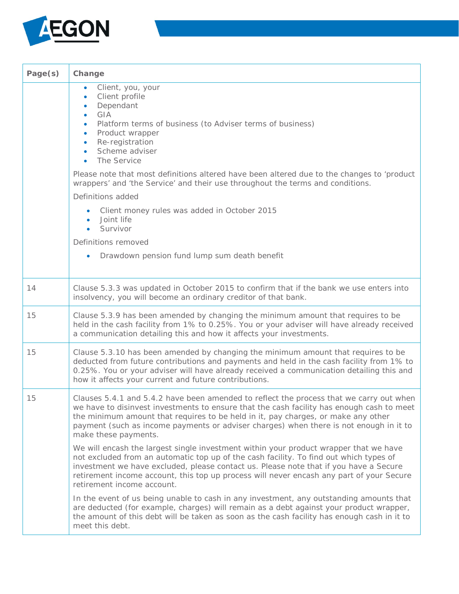

| Page(s) | Change                                                                                                                                                                                                                                                                                                                                                                                             |
|---------|----------------------------------------------------------------------------------------------------------------------------------------------------------------------------------------------------------------------------------------------------------------------------------------------------------------------------------------------------------------------------------------------------|
|         | Client, you, your<br>Client profile<br>$\bullet$<br>Dependant<br>GIA<br>Platform terms of business (to Adviser terms of business)<br>۰<br>Product wrapper<br>$\bullet$<br>Re-registration<br>$\bullet$<br>Scheme adviser<br>$\bullet$<br>The Service<br>$\bullet$                                                                                                                                  |
|         | Please note that most definitions altered have been altered due to the changes to 'product<br>wrappers' and 'the Service' and their use throughout the terms and conditions.                                                                                                                                                                                                                       |
|         | Definitions added                                                                                                                                                                                                                                                                                                                                                                                  |
|         | Client money rules was added in October 2015<br>$\bullet$<br>Joint life<br>• Survivor                                                                                                                                                                                                                                                                                                              |
|         | Definitions removed                                                                                                                                                                                                                                                                                                                                                                                |
|         | Drawdown pension fund lump sum death benefit<br>$\bullet$                                                                                                                                                                                                                                                                                                                                          |
| 14      | Clause 5.3.3 was updated in October 2015 to confirm that if the bank we use enters into<br>insolvency, you will become an ordinary creditor of that bank.                                                                                                                                                                                                                                          |
| 15      | Clause 5.3.9 has been amended by changing the minimum amount that requires to be<br>held in the cash facility from 1% to 0.25%. You or your adviser will have already received<br>a communication detailing this and how it affects your investments.                                                                                                                                              |
| 15      | Clause 5.3.10 has been amended by changing the minimum amount that requires to be<br>deducted from future contributions and payments and held in the cash facility from 1% to<br>0.25%. You or your adviser will have already received a communication detailing this and<br>how it affects your current and future contributions.                                                                 |
| 15      | Clauses 5.4.1 and 5.4.2 have been amended to reflect the process that we carry out when<br>we have to disinvest investments to ensure that the cash facility has enough cash to meet<br>the minimum amount that requires to be held in it, pay charges, or make any other<br>payment (such as income payments or adviser charges) when there is not enough in it to<br>make these payments.        |
|         | We will encash the largest single investment within your product wrapper that we have<br>not excluded from an automatic top up of the cash facility. To find out which types of<br>investment we have excluded, please contact us. Please note that if you have a Secure<br>retirement income account, this top up process will never encash any part of your Secure<br>retirement income account. |
|         | In the event of us being unable to cash in any investment, any outstanding amounts that<br>are deducted (for example, charges) will remain as a debt against your product wrapper,<br>the amount of this debt will be taken as soon as the cash facility has enough cash in it to<br>meet this debt.                                                                                               |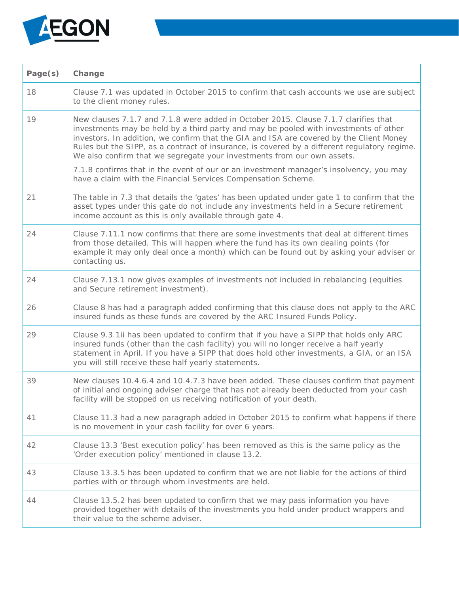

| Page(s) | Change                                                                                                                                                                                                                                                                                                                                                                                                                                            |
|---------|---------------------------------------------------------------------------------------------------------------------------------------------------------------------------------------------------------------------------------------------------------------------------------------------------------------------------------------------------------------------------------------------------------------------------------------------------|
| 18      | Clause 7.1 was updated in October 2015 to confirm that cash accounts we use are subject<br>to the client money rules.                                                                                                                                                                                                                                                                                                                             |
| 19      | New clauses 7.1.7 and 7.1.8 were added in October 2015. Clause 7.1.7 clarifies that<br>investments may be held by a third party and may be pooled with investments of other<br>investors. In addition, we confirm that the GIA and ISA are covered by the Client Money<br>Rules but the SIPP, as a contract of insurance, is covered by a different regulatory regime.<br>We also confirm that we segregate your investments from our own assets. |
|         | 7.1.8 confirms that in the event of our or an investment manager's insolvency, you may<br>have a claim with the Financial Services Compensation Scheme.                                                                                                                                                                                                                                                                                           |
| 21      | The table in 7.3 that details the 'gates' has been updated under gate 1 to confirm that the<br>asset types under this gate do not include any investments held in a Secure retirement<br>income account as this is only available through gate 4.                                                                                                                                                                                                 |
| 24      | Clause 7.11.1 now confirms that there are some investments that deal at different times<br>from those detailed. This will happen where the fund has its own dealing points (for<br>example it may only deal once a month) which can be found out by asking your adviser or<br>contacting us.                                                                                                                                                      |
| 24      | Clause 7.13.1 now gives examples of investments not included in rebalancing (equities<br>and Secure retirement investment).                                                                                                                                                                                                                                                                                                                       |
| 26      | Clause 8 has had a paragraph added confirming that this clause does not apply to the ARC<br>insured funds as these funds are covered by the ARC Insured Funds Policy.                                                                                                                                                                                                                                                                             |
| 29      | Clause 9.3.1ii has been updated to confirm that if you have a SIPP that holds only ARC<br>insured funds (other than the cash facility) you will no longer receive a half yearly<br>statement in April. If you have a SIPP that does hold other investments, a GIA, or an ISA<br>you will still receive these half yearly statements.                                                                                                              |
| 39      | New clauses 10.4.6.4 and 10.4.7.3 have been added. These clauses confirm that payment<br>of initial and ongoing adviser charge that has not already been deducted from your cash<br>facility will be stopped on us receiving notification of your death.                                                                                                                                                                                          |
| 41      | Clause 11.3 had a new paragraph added in October 2015 to confirm what happens if there<br>is no movement in your cash facility for over 6 years.                                                                                                                                                                                                                                                                                                  |
| 42      | Clause 13.3 'Best execution policy' has been removed as this is the same policy as the<br>'Order execution policy' mentioned in clause 13.2.                                                                                                                                                                                                                                                                                                      |
| 43      | Clause 13.3.5 has been updated to confirm that we are not liable for the actions of third<br>parties with or through whom investments are held.                                                                                                                                                                                                                                                                                                   |
| 44      | Clause 13.5.2 has been updated to confirm that we may pass information you have<br>provided together with details of the investments you hold under product wrappers and<br>their value to the scheme adviser.                                                                                                                                                                                                                                    |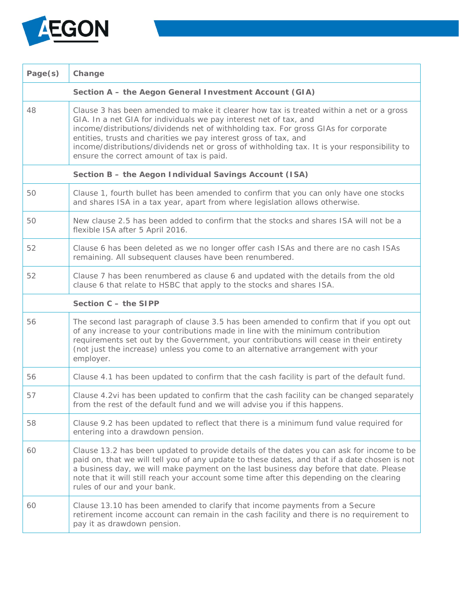

| Page(s)                                                | Change                                                                                                                                                                                                                                                                                                                                                                                                                                                               |  |
|--------------------------------------------------------|----------------------------------------------------------------------------------------------------------------------------------------------------------------------------------------------------------------------------------------------------------------------------------------------------------------------------------------------------------------------------------------------------------------------------------------------------------------------|--|
| Section A - the Aegon General Investment Account (GIA) |                                                                                                                                                                                                                                                                                                                                                                                                                                                                      |  |
| 48                                                     | Clause 3 has been amended to make it clearer how tax is treated within a net or a gross<br>GIA. In a net GIA for individuals we pay interest net of tax, and<br>income/distributions/dividends net of withholding tax. For gross GIAs for corporate<br>entities, trusts and charities we pay interest gross of tax, and<br>income/distributions/dividends net or gross of withholding tax. It is your responsibility to<br>ensure the correct amount of tax is paid. |  |
| Section B - the Aegon Individual Savings Account (ISA) |                                                                                                                                                                                                                                                                                                                                                                                                                                                                      |  |
| 50                                                     | Clause 1, fourth bullet has been amended to confirm that you can only have one stocks<br>and shares ISA in a tax year, apart from where legislation allows otherwise.                                                                                                                                                                                                                                                                                                |  |
| 50                                                     | New clause 2.5 has been added to confirm that the stocks and shares ISA will not be a<br>flexible ISA after 5 April 2016.                                                                                                                                                                                                                                                                                                                                            |  |
| 52                                                     | Clause 6 has been deleted as we no longer offer cash ISAs and there are no cash ISAs<br>remaining. All subsequent clauses have been renumbered.                                                                                                                                                                                                                                                                                                                      |  |
| 52                                                     | Clause 7 has been renumbered as clause 6 and updated with the details from the old<br>clause 6 that relate to HSBC that apply to the stocks and shares ISA.                                                                                                                                                                                                                                                                                                          |  |
| Section C - the SIPP                                   |                                                                                                                                                                                                                                                                                                                                                                                                                                                                      |  |
| 56                                                     | The second last paragraph of clause 3.5 has been amended to confirm that if you opt out<br>of any increase to your contributions made in line with the minimum contribution<br>requirements set out by the Government, your contributions will cease in their entirety<br>(not just the increase) unless you come to an alternative arrangement with your<br>employer.                                                                                               |  |
| 56                                                     | Clause 4.1 has been updated to confirm that the cash facility is part of the default fund.                                                                                                                                                                                                                                                                                                                                                                           |  |
| 57                                                     | Clause 4.2vi has been updated to confirm that the cash facility can be changed separately<br>from the rest of the default fund and we will advise you if this happens.                                                                                                                                                                                                                                                                                               |  |
| 58                                                     | Clause 9.2 has been updated to reflect that there is a minimum fund value required for<br>entering into a drawdown pension.                                                                                                                                                                                                                                                                                                                                          |  |
| 60                                                     | Clause 13.2 has been updated to provide details of the dates you can ask for income to be<br>paid on, that we will tell you of any update to these dates, and that if a date chosen is not<br>a business day, we will make payment on the last business day before that date. Please<br>note that it will still reach your account some time after this depending on the clearing<br>rules of our and your bank.                                                     |  |
| 60                                                     | Clause 13.10 has been amended to clarify that income payments from a Secure<br>retirement income account can remain in the cash facility and there is no requirement to<br>pay it as drawdown pension.                                                                                                                                                                                                                                                               |  |